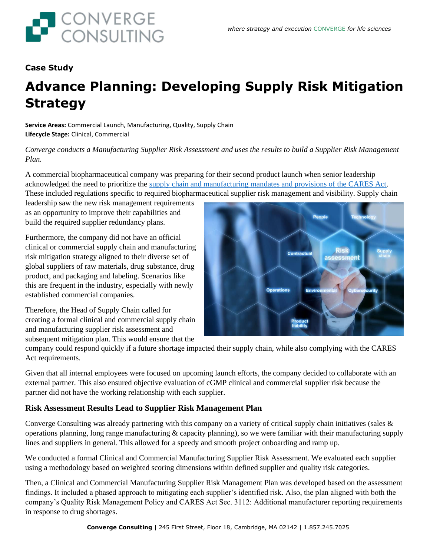

## **Case Study**

## **Advance Planning: Developing Supply Risk Mitigation Strategy**

**Service Areas:** Commercial Launch, Manufacturing, Quality, Supply Chain **Lifecycle Stage:** Clinical, Commercial

*Converge conducts a Manufacturing Supplier Risk Assessment and uses the results to build a Supplier Risk Management Plan.*

A commercial biopharmaceutical company was preparing for their second product launch when senior leadership acknowledged the need to prioritize the supply [chain and manufacturing mandates and provisions of the CARES Act.](https://convergeconsulting.com/the-cares-act-your-supply-chain-what-you-need-to-know/) These included regulations specific to required biopharmaceutical supplier risk management and visibility. Supply chain

leadership saw the new risk management requirements as an opportunity to improve their capabilities and build the required supplier redundancy plans.

Furthermore, the company did not have an official clinical or commercial supply chain and manufacturing risk mitigation strategy aligned to their diverse set of global suppliers of raw materials, drug substance, drug product, and packaging and labeling. Scenarios like this are frequent in the industry, especially with newly established commercial companies.

Therefore, the Head of Supply Chain called for creating a formal clinical and commercial supply chain and manufacturing supplier risk assessment and subsequent mitigation plan. This would ensure that the



company could respond quickly if a future shortage impacted their supply chain, while also complying with the CARES Act requirements.

Given that all internal employees were focused on upcoming launch efforts, the company decided to collaborate with an external partner. This also ensured objective evaluation of cGMP clinical and commercial supplier risk because the partner did not have the working relationship with each supplier.

## **Risk Assessment Results Lead to Supplier Risk Management Plan**

Converge Consulting was already partnering with this company on a variety of critical supply chain initiatives (sales & operations planning, long range manufacturing  $\&$  capacity planning), so we were familiar with their manufacturing supply lines and suppliers in general. This allowed for a speedy and smooth project onboarding and ramp up.

We conducted a formal Clinical and Commercial Manufacturing Supplier Risk Assessment. We evaluated each supplier using a methodology based on weighted scoring dimensions within defined supplier and quality risk categories.

Then, a Clinical and Commercial Manufacturing Supplier Risk Management Plan was developed based on the assessment findings. It included a phased approach to mitigating each supplier's identified risk. Also, the plan aligned with both the company's Quality Risk Management Policy and CARES Act Sec. 3112: Additional manufacturer reporting requirements in response to drug shortages.